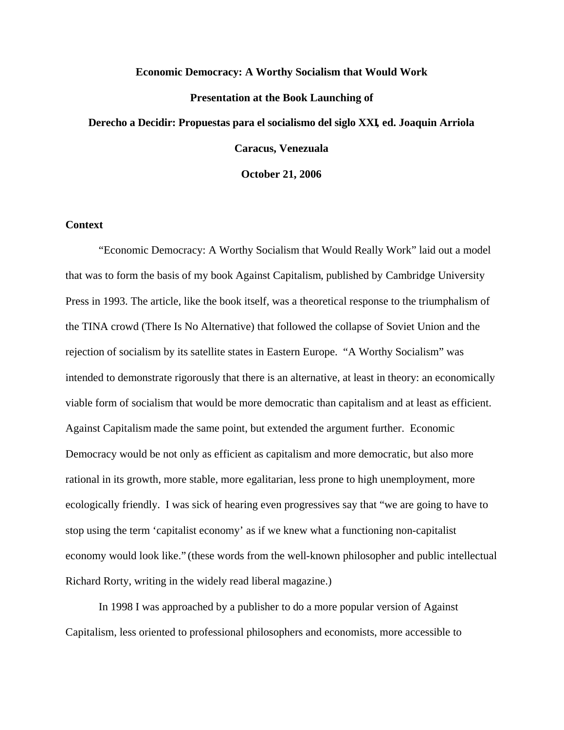#### **Economic Democracy: A Worthy Socialism that Would Work**

# **Presentation at the Book Launching of**

## **Derecho a Decidir: Propuestas para el socialismo del siglo XXI, ed. Joaquin Arriola**

**Caracus, Venezuala**

**October 21, 2006**

#### **Context**

"Economic Democracy: A Worthy Socialism that Would Really Work" laid out a model that was to form the basis of my book Against Capitalism, published by Cambridge University Press in 1993. The article, like the book itself, was a theoretical response to the triumphalism of the TINA crowd (There Is No Alternative) that followed the collapse of Soviet Union and the rejection of socialism by its satellite states in Eastern Europe. "A Worthy Socialism" was intended to demonstrate rigorously that there is an alternative, at least in theory: an economically viable form of socialism that would be more democratic than capitalism and at least as efficient. Against Capitalism made the same point, but extended the argument further. Economic Democracy would be not only as efficient as capitalism and more democratic, but also more rational in its growth, more stable, more egalitarian, less prone to high unemployment, more ecologically friendly. I was sick of hearing even progressives say that "we are going to have to stop using the term 'capitalist economy' as if we knew what a functioning non-capitalist economy would look like." (these words from the well-known philosopher and public intellectual Richard Rorty, writing in the widely read liberal magazine.)

In 1998 I was approached by a publisher to do a more popular version of Against Capitalism, less oriented to professional philosophers and economists, more accessible to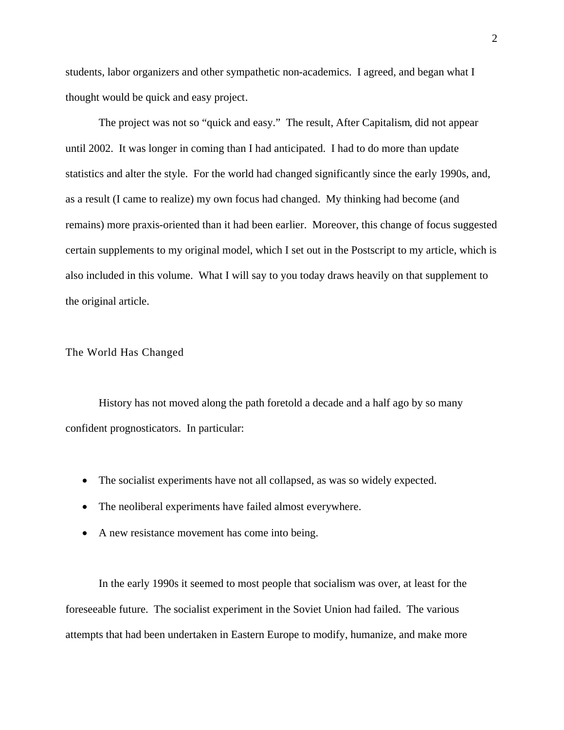students, labor organizers and other sympathetic non-academics. I agreed, and began what I thought would be quick and easy project.

The project was not so "quick and easy." The result, After Capitalism, did not appear until 2002. It was longer in coming than I had anticipated. I had to do more than update statistics and alter the style. For the world had changed significantly since the early 1990s, and, as a result (I came to realize) my own focus had changed. My thinking had become (and remains) more praxis-oriented than it had been earlier. Moreover, this change of focus suggested certain supplements to my original model, which I set out in the Postscript to my article, which is also included in this volume. What I will say to you today draws heavily on that supplement to the original article.

## The World Has Changed

History has not moved along the path foretold a decade and a half ago by so many confident prognosticators. In particular:

- The socialist experiments have not all collapsed, as was so widely expected.
- The neoliberal experiments have failed almost everywhere.
- A new resistance movement has come into being.

In the early 1990s it seemed to most people that socialism was over, at least for the foreseeable future. The socialist experiment in the Soviet Union had failed. The various attempts that had been undertaken in Eastern Europe to modify, humanize, and make more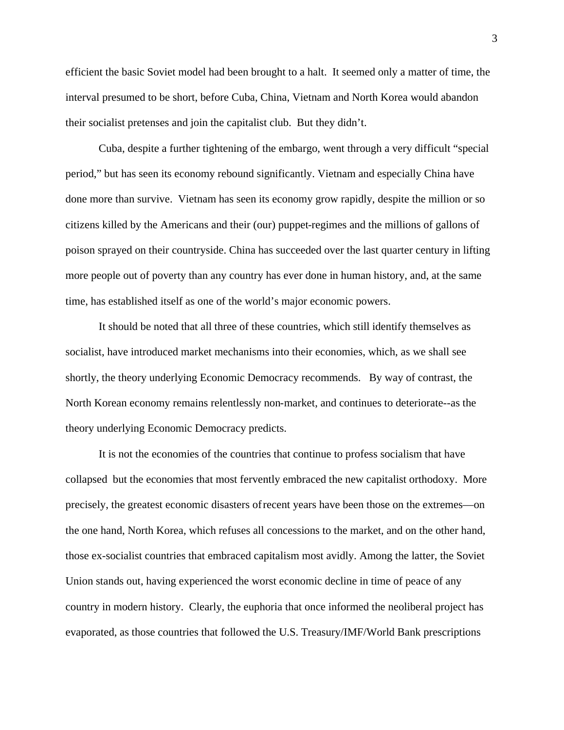efficient the basic Soviet model had been brought to a halt. It seemed only a matter of time, the interval presumed to be short, before Cuba, China, Vietnam and North Korea would abandon their socialist pretenses and join the capitalist club. But they didn't.

Cuba, despite a further tightening of the embargo, went through a very difficult "special period," but has seen its economy rebound significantly. Vietnam and especially China have done more than survive. Vietnam has seen its economy grow rapidly, despite the million or so citizens killed by the Americans and their (our) puppet-regimes and the millions of gallons of poison sprayed on their countryside. China has succeeded over the last quarter century in lifting more people out of poverty than any country has ever done in human history, and, at the same time, has established itself as one of the world's major economic powers.

It should be noted that all three of these countries, which still identify themselves as socialist, have introduced market mechanisms into their economies, which, as we shall see shortly, the theory underlying Economic Democracy recommends. By way of contrast, the North Korean economy remains relentlessly non-market, and continues to deteriorate--as the theory underlying Economic Democracy predicts.

It is not the economies of the countries that continue to profess socialism that have collapsed but the economies that most fervently embraced the new capitalist orthodoxy. More precisely, the greatest economic disasters of recent years have been those on the extremes—on the one hand, North Korea, which refuses all concessions to the market, and on the other hand, those ex-socialist countries that embraced capitalism most avidly. Among the latter, the Soviet Union stands out, having experienced the worst economic decline in time of peace of any country in modern history. Clearly, the euphoria that once informed the neoliberal project has evaporated, as those countries that followed the U.S. Treasury/IMF/World Bank prescriptions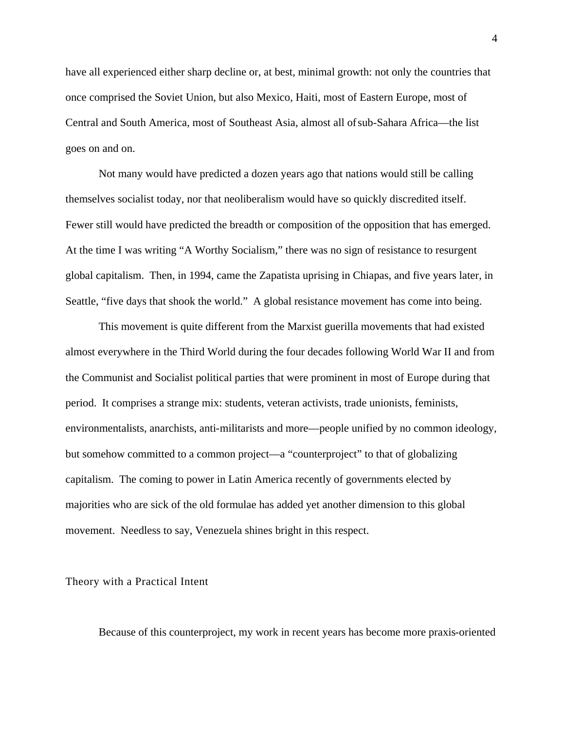have all experienced either sharp decline or, at best, minimal growth: not only the countries that once comprised the Soviet Union, but also Mexico, Haiti, most of Eastern Europe, most of Central and South America, most of Southeast Asia, almost all of sub-Sahara Africa—the list goes on and on.

Not many would have predicted a dozen years ago that nations would still be calling themselves socialist today, nor that neoliberalism would have so quickly discredited itself. Fewer still would have predicted the breadth or composition of the opposition that has emerged. At the time I was writing "A Worthy Socialism," there was no sign of resistance to resurgent global capitalism. Then, in 1994, came the Zapatista uprising in Chiapas, and five years later, in Seattle, "five days that shook the world." A global resistance movement has come into being.

This movement is quite different from the Marxist guerilla movements that had existed almost everywhere in the Third World during the four decades following World War II and from the Communist and Socialist political parties that were prominent in most of Europe during that period. It comprises a strange mix: students, veteran activists, trade unionists, feminists, environmentalists, anarchists, anti-militarists and more—people unified by no common ideology, but somehow committed to a common project—a "counterproject" to that of globalizing capitalism. The coming to power in Latin America recently of governments elected by majorities who are sick of the old formulae has added yet another dimension to this global movement. Needless to say, Venezuela shines bright in this respect.

Theory with a Practical Intent

Because of this counterproject, my work in recent years has become more praxis-oriented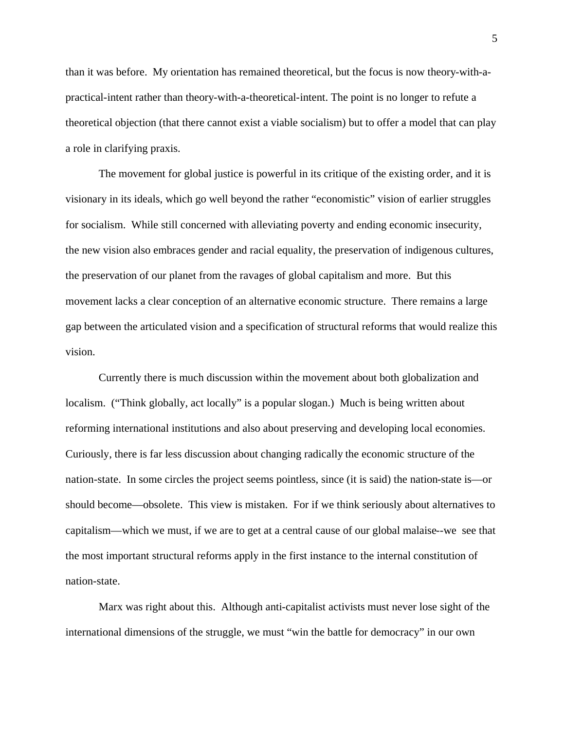than it was before. My orientation has remained theoretical, but the focus is now theory-with-apractical-intent rather than theory-with-a-theoretical-intent. The point is no longer to refute a theoretical objection (that there cannot exist a viable socialism) but to offer a model that can play a role in clarifying praxis.

The movement for global justice is powerful in its critique of the existing order, and it is visionary in its ideals, which go well beyond the rather "economistic" vision of earlier struggles for socialism. While still concerned with alleviating poverty and ending economic insecurity, the new vision also embraces gender and racial equality, the preservation of indigenous cultures, the preservation of our planet from the ravages of global capitalism and more. But this movement lacks a clear conception of an alternative economic structure. There remains a large gap between the articulated vision and a specification of structural reforms that would realize this vision.

Currently there is much discussion within the movement about both globalization and localism. ("Think globally, act locally" is a popular slogan.) Much is being written about reforming international institutions and also about preserving and developing local economies. Curiously, there is far less discussion about changing radically the economic structure of the nation-state. In some circles the project seems pointless, since (it is said) the nation-state is—or should become—obsolete. This view is mistaken. For if we think seriously about alternatives to capitalism—which we must, if we are to get at a central cause of our global malaise--we see that the most important structural reforms apply in the first instance to the internal constitution of nation-state.

Marx was right about this. Although anti-capitalist activists must never lose sight of the international dimensions of the struggle, we must "win the battle for democracy" in our own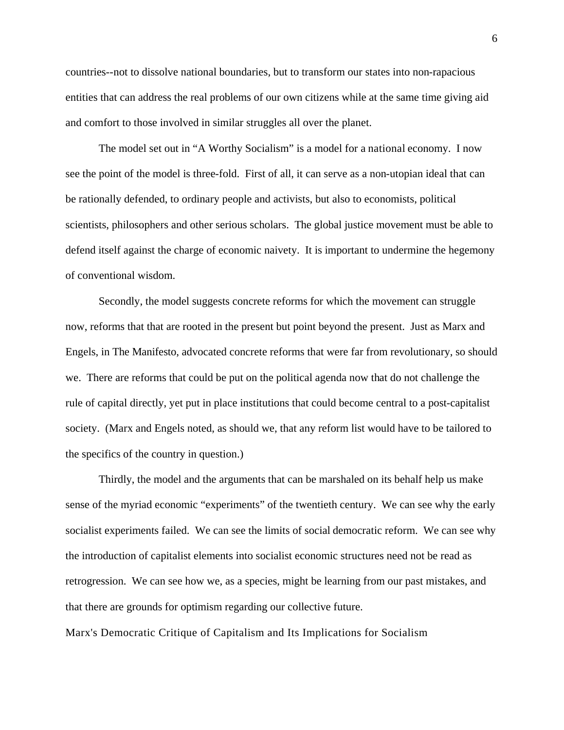countries--not to dissolve national boundaries, but to transform our states into non-rapacious entities that can address the real problems of our own citizens while at the same time giving aid and comfort to those involved in similar struggles all over the planet.

The model set out in "A Worthy Socialism" is a model for a national economy. I now see the point of the model is three-fold. First of all, it can serve as a non-utopian ideal that can be rationally defended, to ordinary people and activists, but also to economists, political scientists, philosophers and other serious scholars. The global justice movement must be able to defend itself against the charge of economic naivety. It is important to undermine the hegemony of conventional wisdom.

Secondly, the model suggests concrete reforms for which the movement can struggle now, reforms that that are rooted in the present but point beyond the present. Just as Marx and Engels, in The Manifesto, advocated concrete reforms that were far from revolutionary, so should we. There are reforms that could be put on the political agenda now that do not challenge the rule of capital directly, yet put in place institutions that could become central to a post-capitalist society. (Marx and Engels noted, as should we, that any reform list would have to be tailored to the specifics of the country in question.)

Thirdly, the model and the arguments that can be marshaled on its behalf help us make sense of the myriad economic "experiments" of the twentieth century. We can see why the early socialist experiments failed. We can see the limits of social democratic reform. We can see why the introduction of capitalist elements into socialist economic structures need not be read as retrogression. We can see how we, as a species, might be learning from our past mistakes, and that there are grounds for optimism regarding our collective future.

Marx's Democratic Critique of Capitalism and Its Implications for Socialism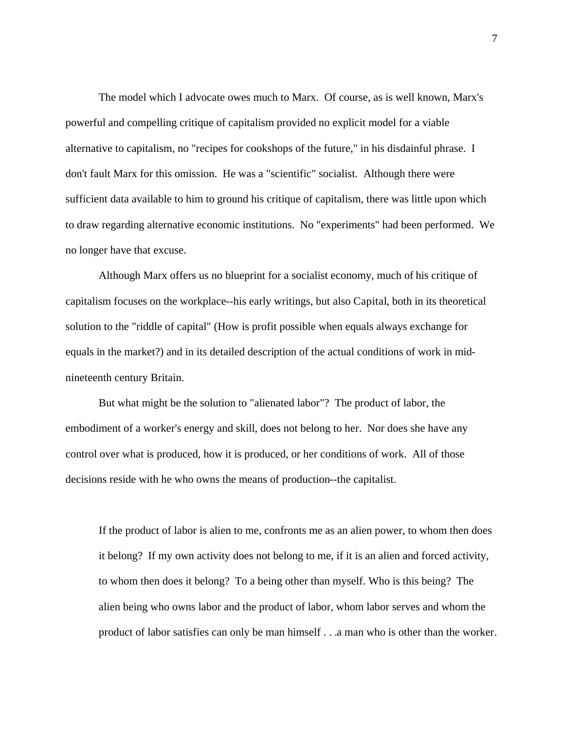The model which I advocate owes much to Marx. Of course, as is well known, Marx's powerful and compelling critique of capitalism provided no explicit model for a viable alternative to capitalism, no "recipes for cookshops of the future," in his disdainful phrase. I don't fault Marx for this omission. He was a "scientific" socialist. Although there were sufficient data available to him to ground his critique of capitalism, there was little upon which to draw regarding alternative economic institutions. No "experiments" had been performed. We no longer have that excuse.

Although Marx offers us no blueprint for a socialist economy, much of his critique of capitalism focuses on the workplace--his early writings, but also Capital, both in its theoretical solution to the "riddle of capital" (How is profit possible when equals always exchange for equals in the market?) and in its detailed description of the actual conditions of work in midnineteenth century Britain.

But what might be the solution to "alienated labor"? The product of labor, the embodiment of a worker's energy and skill, does not belong to her. Nor does she have any control over what is produced, how it is produced, or her conditions of work. All of those decisions reside with he who owns the means of production--the capitalist.

If the product of labor is alien to me, confronts me as an alien power, to whom then does it belong? If my own activity does not belong to me, if it is an alien and forced activity, to whom then does it belong? To a being other than myself. Who is this being? The alien being who owns labor and the product of labor, whom labor serves and whom the product of labor satisfies can only be man himself . . .a man who is other than the worker.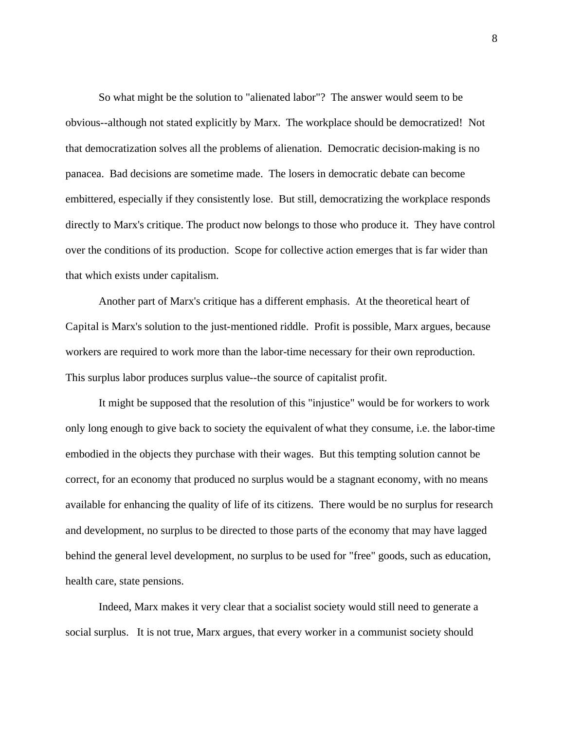So what might be the solution to "alienated labor"? The answer would seem to be obvious--although not stated explicitly by Marx. The workplace should be democratized! Not that democratization solves all the problems of alienation. Democratic decision-making is no panacea. Bad decisions are sometime made. The losers in democratic debate can become embittered, especially if they consistently lose. But still, democratizing the workplace responds directly to Marx's critique. The product now belongs to those who produce it. They have control over the conditions of its production. Scope for collective action emerges that is far wider than that which exists under capitalism.

Another part of Marx's critique has a different emphasis. At the theoretical heart of Capital is Marx's solution to the just-mentioned riddle. Profit is possible, Marx argues, because workers are required to work more than the labor-time necessary for their own reproduction. This surplus labor produces surplus value--the source of capitalist profit.

It might be supposed that the resolution of this "injustice" would be for workers to work only long enough to give back to society the equivalent of what they consume, i.e. the labor-time embodied in the objects they purchase with their wages. But this tempting solution cannot be correct, for an economy that produced no surplus would be a stagnant economy, with no means available for enhancing the quality of life of its citizens. There would be no surplus for research and development, no surplus to be directed to those parts of the economy that may have lagged behind the general level development, no surplus to be used for "free" goods, such as education, health care, state pensions.

Indeed, Marx makes it very clear that a socialist society would still need to generate a social surplus. It is not true, Marx argues, that every worker in a communist society should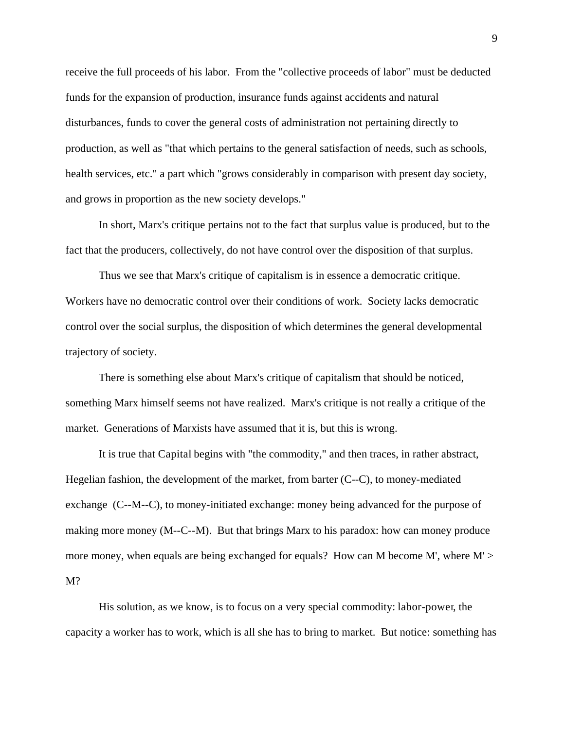receive the full proceeds of his labor. From the "collective proceeds of labor" must be deducted funds for the expansion of production, insurance funds against accidents and natural disturbances, funds to cover the general costs of administration not pertaining directly to production, as well as "that which pertains to the general satisfaction of needs, such as schools, health services, etc." a part which "grows considerably in comparison with present day society, and grows in proportion as the new society develops."

In short, Marx's critique pertains not to the fact that surplus value is produced, but to the fact that the producers, collectively, do not have control over the disposition of that surplus.

Thus we see that Marx's critique of capitalism is in essence a democratic critique. Workers have no democratic control over their conditions of work. Society lacks democratic control over the social surplus, the disposition of which determines the general developmental trajectory of society.

There is something else about Marx's critique of capitalism that should be noticed, something Marx himself seems not have realized. Marx's critique is not really a critique of the market. Generations of Marxists have assumed that it is, but this is wrong.

It is true that Capital begins with "the commodity," and then traces, in rather abstract, Hegelian fashion, the development of the market, from barter (C--C), to money-mediated exchange (C--M--C), to money-initiated exchange: money being advanced for the purpose of making more money (M--C--M). But that brings Marx to his paradox: how can money produce more money, when equals are being exchanged for equals? How can M become M', where M' >  $M<sup>2</sup>$ 

His solution, as we know, is to focus on a very special commodity: labor-power, the capacity a worker has to work, which is all she has to bring to market. But notice: something has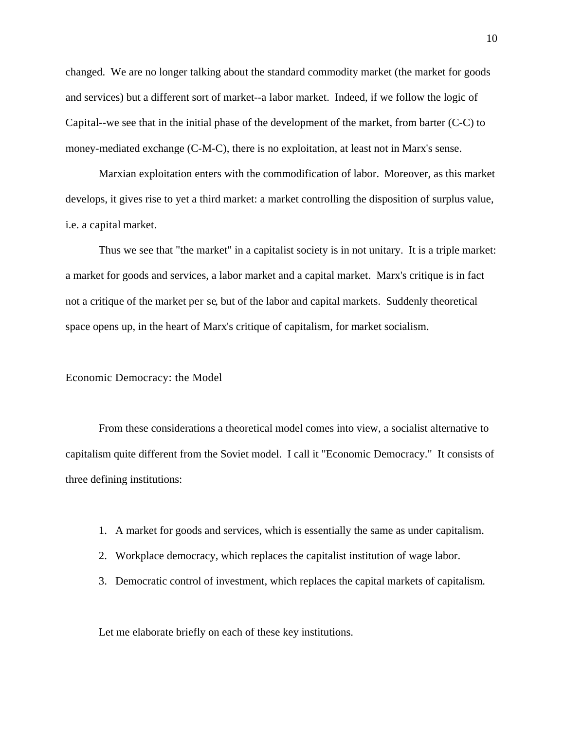changed. We are no longer talking about the standard commodity market (the market for goods and services) but a different sort of market--a labor market. Indeed, if we follow the logic of Capital--we see that in the initial phase of the development of the market, from barter (C-C) to money-mediated exchange (C-M-C), there is no exploitation, at least not in Marx's sense.

Marxian exploitation enters with the commodification of labor. Moreover, as this market develops, it gives rise to yet a third market: a market controlling the disposition of surplus value, i.e. a capital market.

Thus we see that "the market" in a capitalist society is in not unitary. It is a triple market: a market for goods and services, a labor market and a capital market. Marx's critique is in fact not a critique of the market per se, but of the labor and capital markets. Suddenly theoretical space opens up, in the heart of Marx's critique of capitalism, for market socialism.

### Economic Democracy: the Model

From these considerations a theoretical model comes into view, a socialist alternative to capitalism quite different from the Soviet model. I call it "Economic Democracy." It consists of three defining institutions:

- 1. A market for goods and services, which is essentially the same as under capitalism.
- 2. Workplace democracy, which replaces the capitalist institution of wage labor.
- 3. Democratic control of investment, which replaces the capital markets of capitalism.

Let me elaborate briefly on each of these key institutions.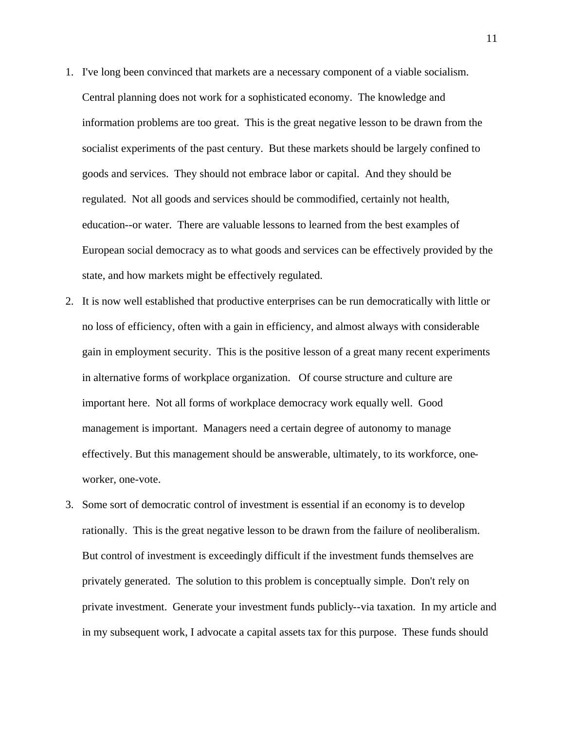- 1. I've long been convinced that markets are a necessary component of a viable socialism. Central planning does not work for a sophisticated economy. The knowledge and information problems are too great. This is the great negative lesson to be drawn from the socialist experiments of the past century. But these markets should be largely confined to goods and services. They should not embrace labor or capital. And they should be regulated. Not all goods and services should be commodified, certainly not health, education--or water. There are valuable lessons to learned from the best examples of European social democracy as to what goods and services can be effectively provided by the state, and how markets might be effectively regulated.
- 2. It is now well established that productive enterprises can be run democratically with little or no loss of efficiency, often with a gain in efficiency, and almost always with considerable gain in employment security. This is the positive lesson of a great many recent experiments in alternative forms of workplace organization. Of course structure and culture are important here. Not all forms of workplace democracy work equally well. Good management is important. Managers need a certain degree of autonomy to manage effectively. But this management should be answerable, ultimately, to its workforce, oneworker, one-vote.
- 3. Some sort of democratic control of investment is essential if an economy is to develop rationally. This is the great negative lesson to be drawn from the failure of neoliberalism. But control of investment is exceedingly difficult if the investment funds themselves are privately generated. The solution to this problem is conceptually simple. Don't rely on private investment. Generate your investment funds publicly--via taxation. In my article and in my subsequent work, I advocate a capital assets tax for this purpose. These funds should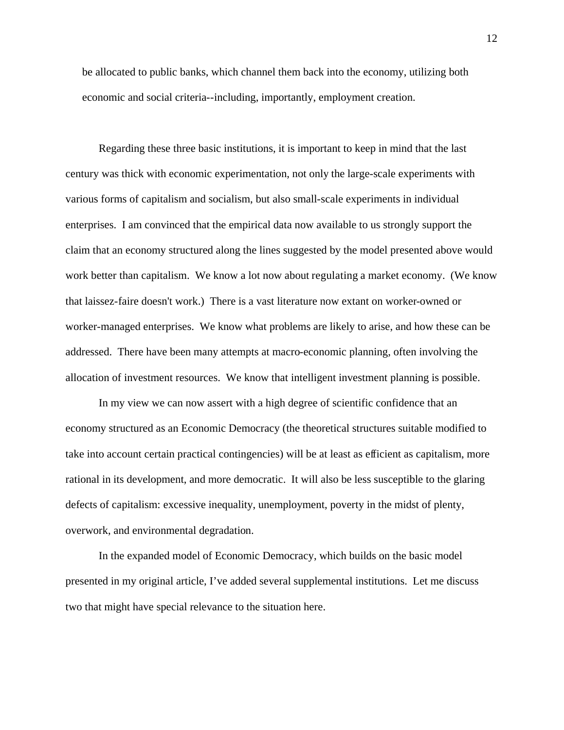be allocated to public banks, which channel them back into the economy, utilizing both economic and social criteria--including, importantly, employment creation.

Regarding these three basic institutions, it is important to keep in mind that the last century was thick with economic experimentation, not only the large-scale experiments with various forms of capitalism and socialism, but also small-scale experiments in individual enterprises. I am convinced that the empirical data now available to us strongly support the claim that an economy structured along the lines suggested by the model presented above would work better than capitalism. We know a lot now about regulating a market economy. (We know that laissez-faire doesn't work.) There is a vast literature now extant on worker-owned or worker-managed enterprises. We know what problems are likely to arise, and how these can be addressed. There have been many attempts at macro-economic planning, often involving the allocation of investment resources. We know that intelligent investment planning is possible.

In my view we can now assert with a high degree of scientific confidence that an economy structured as an Economic Democracy (the theoretical structures suitable modified to take into account certain practical contingencies) will be at least as efficient as capitalism, more rational in its development, and more democratic. It will also be less susceptible to the glaring defects of capitalism: excessive inequality, unemployment, poverty in the midst of plenty, overwork, and environmental degradation.

In the expanded model of Economic Democracy, which builds on the basic model presented in my original article, I've added several supplemental institutions. Let me discuss two that might have special relevance to the situation here.

12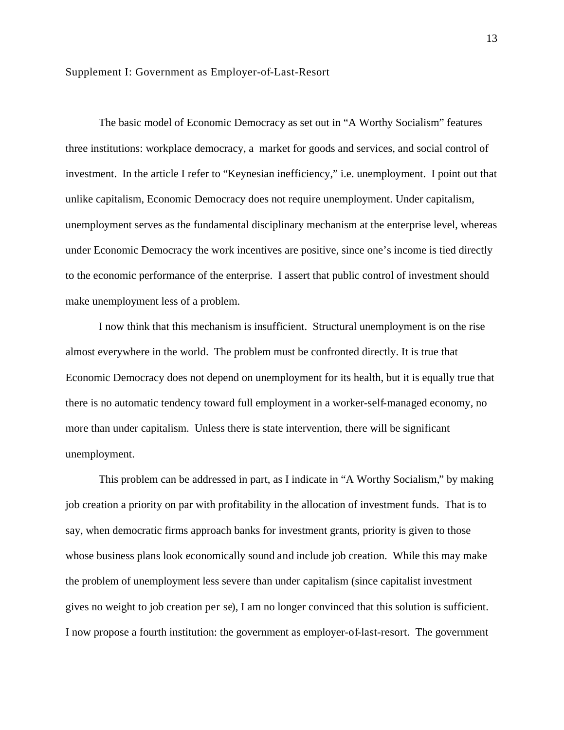The basic model of Economic Democracy as set out in "A Worthy Socialism" features three institutions: workplace democracy, a market for goods and services, and social control of investment. In the article I refer to "Keynesian inefficiency," i.e. unemployment. I point out that unlike capitalism, Economic Democracy does not require unemployment. Under capitalism, unemployment serves as the fundamental disciplinary mechanism at the enterprise level, whereas under Economic Democracy the work incentives are positive, since one's income is tied directly to the economic performance of the enterprise. I assert that public control of investment should make unemployment less of a problem.

I now think that this mechanism is insufficient. Structural unemployment is on the rise almost everywhere in the world. The problem must be confronted directly. It is true that Economic Democracy does not depend on unemployment for its health, but it is equally true that there is no automatic tendency toward full employment in a worker-self-managed economy, no more than under capitalism. Unless there is state intervention, there will be significant unemployment.

This problem can be addressed in part, as I indicate in "A Worthy Socialism," by making job creation a priority on par with profitability in the allocation of investment funds. That is to say, when democratic firms approach banks for investment grants, priority is given to those whose business plans look economically sound and include job creation. While this may make the problem of unemployment less severe than under capitalism (since capitalist investment gives no weight to job creation per se), I am no longer convinced that this solution is sufficient. I now propose a fourth institution: the government as employer-of-last-resort. The government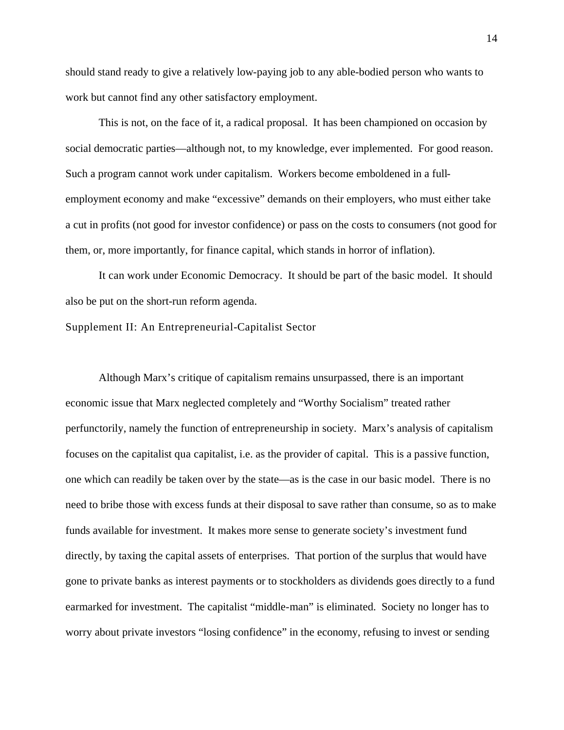should stand ready to give a relatively low-paying job to any able-bodied person who wants to work but cannot find any other satisfactory employment.

This is not, on the face of it, a radical proposal. It has been championed on occasion by social democratic parties—although not, to my knowledge, ever implemented. For good reason. Such a program cannot work under capitalism. Workers become emboldened in a fullemployment economy and make "excessive" demands on their employers, who must either take a cut in profits (not good for investor confidence) or pass on the costs to consumers (not good for them, or, more importantly, for finance capital, which stands in horror of inflation).

It can work under Economic Democracy. It should be part of the basic model. It should also be put on the short-run reform agenda.

Supplement II: An Entrepreneurial-Capitalist Sector

Although Marx's critique of capitalism remains unsurpassed, there is an important economic issue that Marx neglected completely and "Worthy Socialism" treated rather perfunctorily, namely the function of entrepreneurship in society. Marx's analysis of capitalism focuses on the capitalist qua capitalist, i.e. as the provider of capital. This is a passive function, one which can readily be taken over by the state—as is the case in our basic model. There is no need to bribe those with excess funds at their disposal to save rather than consume, so as to make funds available for investment. It makes more sense to generate society's investment fund directly, by taxing the capital assets of enterprises. That portion of the surplus that would have gone to private banks as interest payments or to stockholders as dividends goes directly to a fund earmarked for investment. The capitalist "middle-man" is eliminated. Society no longer has to worry about private investors "losing confidence" in the economy, refusing to invest or sending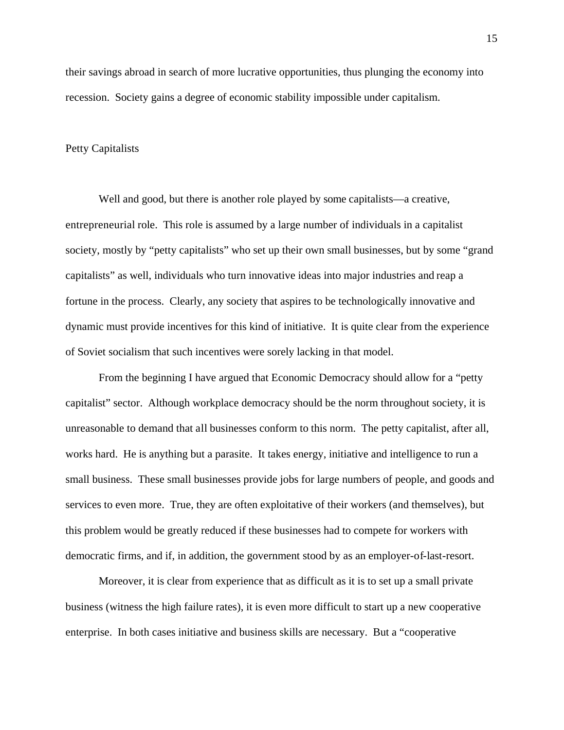their savings abroad in search of more lucrative opportunities, thus plunging the economy into recession. Society gains a degree of economic stability impossible under capitalism.

### Petty Capitalists

Well and good, but there is another role played by some capitalists—a creative, entrepreneurial role. This role is assumed by a large number of individuals in a capitalist society, mostly by "petty capitalists" who set up their own small businesses, but by some "grand capitalists" as well, individuals who turn innovative ideas into major industries and reap a fortune in the process. Clearly, any society that aspires to be technologically innovative and dynamic must provide incentives for this kind of initiative. It is quite clear from the experience of Soviet socialism that such incentives were sorely lacking in that model.

From the beginning I have argued that Economic Democracy should allow for a "petty capitalist" sector. Although workplace democracy should be the norm throughout society, it is unreasonable to demand that all businesses conform to this norm. The petty capitalist, after all, works hard. He is anything but a parasite. It takes energy, initiative and intelligence to run a small business. These small businesses provide jobs for large numbers of people, and goods and services to even more. True, they are often exploitative of their workers (and themselves), but this problem would be greatly reduced if these businesses had to compete for workers with democratic firms, and if, in addition, the government stood by as an employer-of-last-resort.

Moreover, it is clear from experience that as difficult as it is to set up a small private business (witness the high failure rates), it is even more difficult to start up a new cooperative enterprise. In both cases initiative and business skills are necessary. But a "cooperative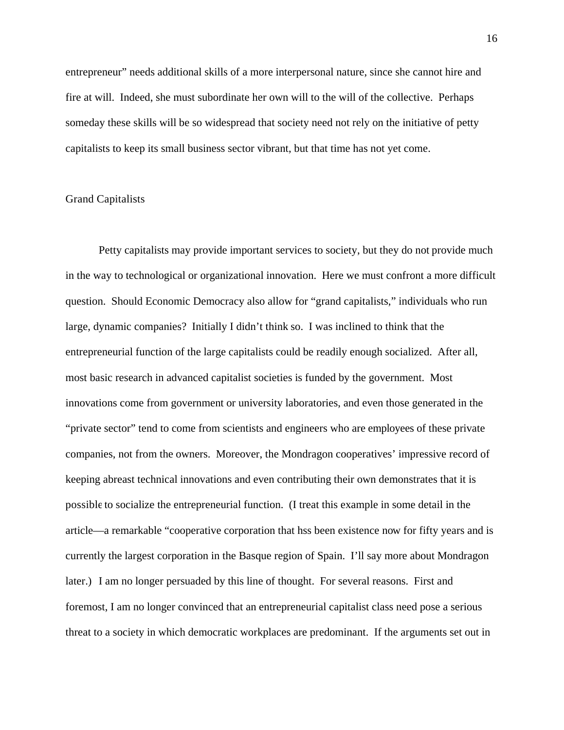entrepreneur" needs additional skills of a more interpersonal nature, since she cannot hire and fire at will. Indeed, she must subordinate her own will to the will of the collective. Perhaps someday these skills will be so widespread that society need not rely on the initiative of petty capitalists to keep its small business sector vibrant, but that time has not yet come.

## Grand Capitalists

Petty capitalists may provide important services to society, but they do not provide much in the way to technological or organizational innovation. Here we must confront a more difficult question. Should Economic Democracy also allow for "grand capitalists," individuals who run large, dynamic companies? Initially I didn't think so. I was inclined to think that the entrepreneurial function of the large capitalists could be readily enough socialized. After all, most basic research in advanced capitalist societies is funded by the government. Most innovations come from government or university laboratories, and even those generated in the "private sector" tend to come from scientists and engineers who are employees of these private companies, not from the owners. Moreover, the Mondragon cooperatives' impressive record of keeping abreast technical innovations and even contributing their own demonstrates that it is possible to socialize the entrepreneurial function. (I treat this example in some detail in the article—a remarkable "cooperative corporation that hss been existence now for fifty years and is currently the largest corporation in the Basque region of Spain. I'll say more about Mondragon later.) I am no longer persuaded by this line of thought. For several reasons. First and foremost, I am no longer convinced that an entrepreneurial capitalist class need pose a serious threat to a society in which democratic workplaces are predominant. If the arguments set out in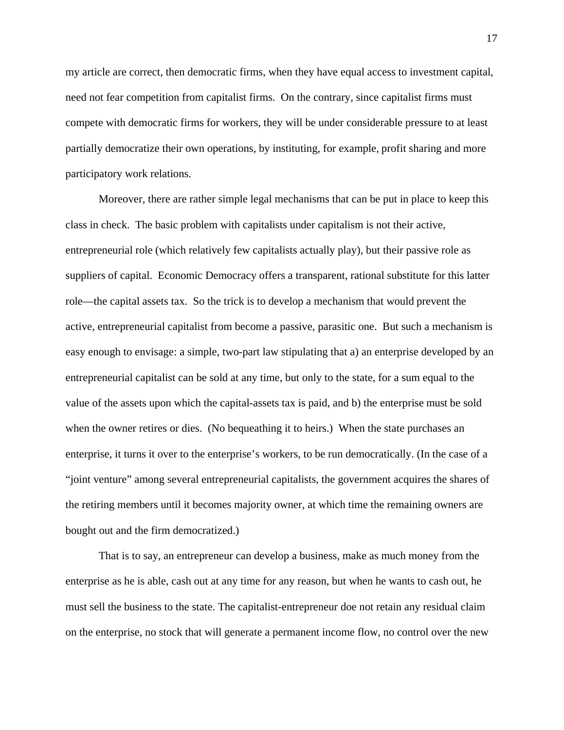my article are correct, then democratic firms, when they have equal access to investment capital, need not fear competition from capitalist firms. On the contrary, since capitalist firms must compete with democratic firms for workers, they will be under considerable pressure to at least partially democratize their own operations, by instituting, for example, profit sharing and more participatory work relations.

Moreover, there are rather simple legal mechanisms that can be put in place to keep this class in check. The basic problem with capitalists under capitalism is not their active, entrepreneurial role (which relatively few capitalists actually play), but their passive role as suppliers of capital. Economic Democracy offers a transparent, rational substitute for this latter role—the capital assets tax. So the trick is to develop a mechanism that would prevent the active, entrepreneurial capitalist from become a passive, parasitic one. But such a mechanism is easy enough to envisage: a simple, two-part law stipulating that a) an enterprise developed by an entrepreneurial capitalist can be sold at any time, but only to the state, for a sum equal to the value of the assets upon which the capital-assets tax is paid, and b) the enterprise must be sold when the owner retires or dies. (No bequeathing it to heirs.) When the state purchases an enterprise, it turns it over to the enterprise's workers, to be run democratically. (In the case of a "joint venture" among several entrepreneurial capitalists, the government acquires the shares of the retiring members until it becomes majority owner, at which time the remaining owners are bought out and the firm democratized.)

That is to say, an entrepreneur can develop a business, make as much money from the enterprise as he is able, cash out at any time for any reason, but when he wants to cash out, he must sell the business to the state. The capitalist-entrepreneur doe not retain any residual claim on the enterprise, no stock that will generate a permanent income flow, no control over the new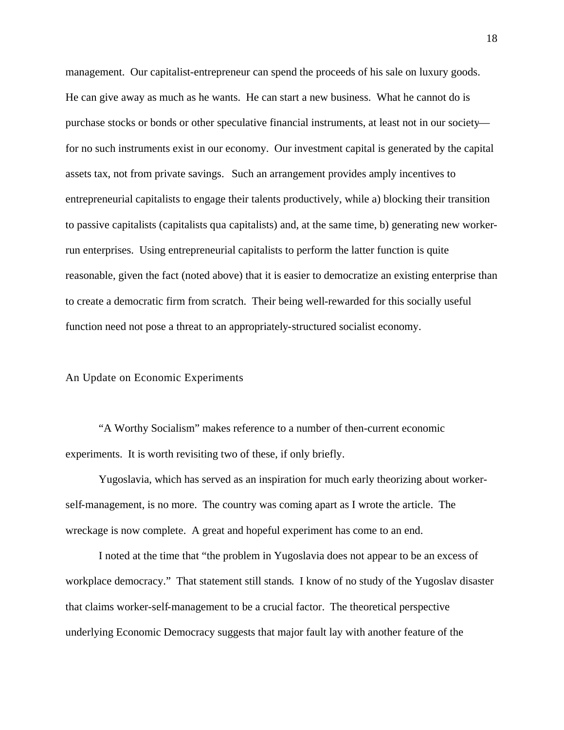management. Our capitalist-entrepreneur can spend the proceeds of his sale on luxury goods. He can give away as much as he wants. He can start a new business. What he cannot do is purchase stocks or bonds or other speculative financial instruments, at least not in our society for no such instruments exist in our economy. Our investment capital is generated by the capital assets tax, not from private savings. Such an arrangement provides amply incentives to entrepreneurial capitalists to engage their talents productively, while a) blocking their transition to passive capitalists (capitalists qua capitalists) and, at the same time, b) generating new workerrun enterprises. Using entrepreneurial capitalists to perform the latter function is quite reasonable, given the fact (noted above) that it is easier to democratize an existing enterprise than to create a democratic firm from scratch. Their being well-rewarded for this socially useful function need not pose a threat to an appropriately-structured socialist economy.

### An Update on Economic Experiments

"A Worthy Socialism" makes reference to a number of then-current economic experiments. It is worth revisiting two of these, if only briefly.

Yugoslavia, which has served as an inspiration for much early theorizing about workerself-management, is no more. The country was coming apart as I wrote the article. The wreckage is now complete. A great and hopeful experiment has come to an end.

I noted at the time that "the problem in Yugoslavia does not appear to be an excess of workplace democracy." That statement still stands. I know of no study of the Yugoslav disaster that claims worker-self-management to be a crucial factor. The theoretical perspective underlying Economic Democracy suggests that major fault lay with another feature of the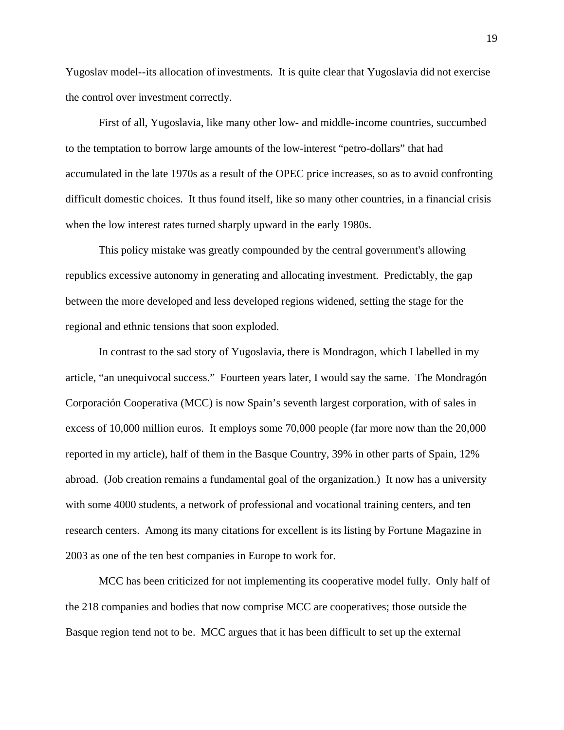Yugoslav model--its allocation of investments. It is quite clear that Yugoslavia did not exercise the control over investment correctly.

First of all, Yugoslavia, like many other low- and middle-income countries, succumbed to the temptation to borrow large amounts of the low-interest "petro-dollars" that had accumulated in the late 1970s as a result of the OPEC price increases, so as to avoid confronting difficult domestic choices. It thus found itself, like so many other countries, in a financial crisis when the low interest rates turned sharply upward in the early 1980s.

This policy mistake was greatly compounded by the central government's allowing republics excessive autonomy in generating and allocating investment. Predictably, the gap between the more developed and less developed regions widened, setting the stage for the regional and ethnic tensions that soon exploded.

In contrast to the sad story of Yugoslavia, there is Mondragon, which I labelled in my article, "an unequivocal success." Fourteen years later, I would say the same. The Mondragón Corporación Cooperativa (MCC) is now Spain's seventh largest corporation, with of sales in excess of 10,000 million euros. It employs some 70,000 people (far more now than the 20,000 reported in my article), half of them in the Basque Country, 39% in other parts of Spain, 12% abroad. (Job creation remains a fundamental goal of the organization.) It now has a university with some 4000 students, a network of professional and vocational training centers, and ten research centers. Among its many citations for excellent is its listing by Fortune Magazine in 2003 as one of the ten best companies in Europe to work for.

MCC has been criticized for not implementing its cooperative model fully. Only half of the 218 companies and bodies that now comprise MCC are cooperatives; those outside the Basque region tend not to be. MCC argues that it has been difficult to set up the external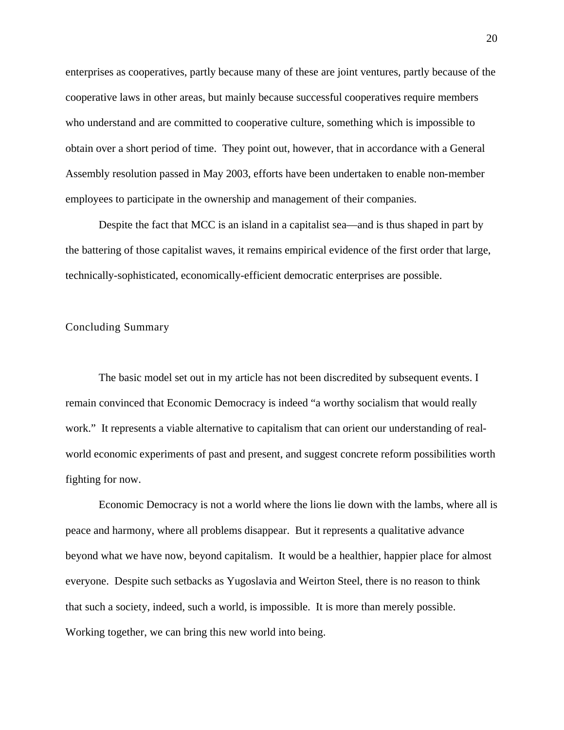enterprises as cooperatives, partly because many of these are joint ventures, partly because of the cooperative laws in other areas, but mainly because successful cooperatives require members who understand and are committed to cooperative culture, something which is impossible to obtain over a short period of time. They point out, however, that in accordance with a General Assembly resolution passed in May 2003, efforts have been undertaken to enable non-member employees to participate in the ownership and management of their companies.

Despite the fact that MCC is an island in a capitalist sea—and is thus shaped in part by the battering of those capitalist waves, it remains empirical evidence of the first order that large, technically-sophisticated, economically-efficient democratic enterprises are possible.

# Concluding Summary

The basic model set out in my article has not been discredited by subsequent events. I remain convinced that Economic Democracy is indeed "a worthy socialism that would really work." It represents a viable alternative to capitalism that can orient our understanding of realworld economic experiments of past and present, and suggest concrete reform possibilities worth fighting for now.

Economic Democracy is not a world where the lions lie down with the lambs, where all is peace and harmony, where all problems disappear. But it represents a qualitative advance beyond what we have now, beyond capitalism. It would be a healthier, happier place for almost everyone. Despite such setbacks as Yugoslavia and Weirton Steel, there is no reason to think that such a society, indeed, such a world, is impossible. It is more than merely possible. Working together, we can bring this new world into being.